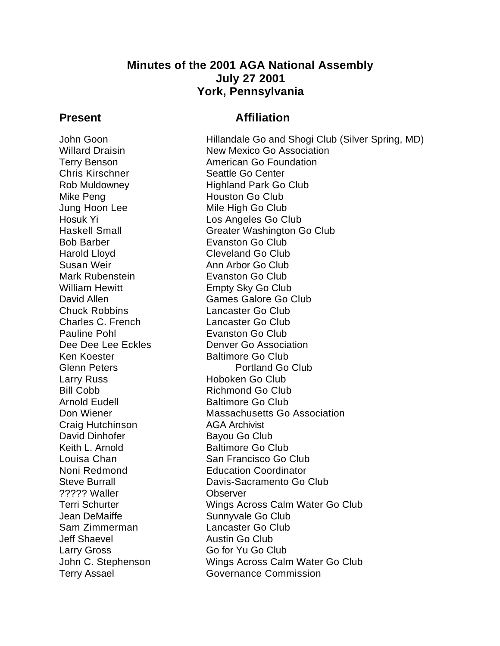# **Minutes of the 2001 AGA National Assembly July 27 2001 York, Pennsylvania**

## **Present Affiliation**

Chris Kirschner Seattle Go Center Mike Peng **Houston Go Club** Jung Hoon Lee Mile High Go Club Bob Barber Evanston Go Club Harold Lloyd **Cleveland Go Club** Susan Weir **Ann Arbor Go Club** Mark Rubenstein **Evanston Go Club** William Hewitt **Empty Sky Go Club** Chuck Robbins Lancaster Go Club Charles C. French Lancaster Go Club Pauline Pohl **Evanston Go Club** Ken Koester **Baltimore Go Club** Larry Russ **Hoboken Go Club** Bill Cobb Richmond Go Club Arnold Eudell Baltimore Go Club Craig Hutchinson **AGA Archivist** David Dinhofer Bayou Go Club Keith L. Arnold Baltimore Go Club ????? Waller Observer Jean DeMaiffe Sunnyvale Go Club Sam Zimmerman Lancaster Go Club Jeff Shaevel **Austin Go Club** Larry Gross Go for Yu Go Club

John Goon Hillandale Go and Shogi Club (Silver Spring, MD) Willard Draisin New Mexico Go Association Terry Benson **American Go Foundation** Rob Muldowney **Highland Park Go Club** Hosuk Yi Los Angeles Go Club Haskell Small Greater Washington Go Club David Allen Games Galore Go Club Dee Dee Lee Eckles **Denver Go Association** Glenn Peters **Portland Go Club** Don Wiener **Massachusetts Go Association** Louisa Chan San Francisco Go Club Noni Redmond<br>
Steve Burrall 
Steve Burrall 
Steve Burrall 
Steve Burrall 
Steve Burrall 
Steve Steve Burrall 
Steve Steve Steve In The Steve Steve In The Steve In The Steve In The Steve In The Steve In The Steve In The Ste Davis-Sacramento Go Club Terri Schurter Wings Across Calm Water Go Club John C. Stephenson Wings Across Calm Water Go Club Terry Assael **Governance Commission**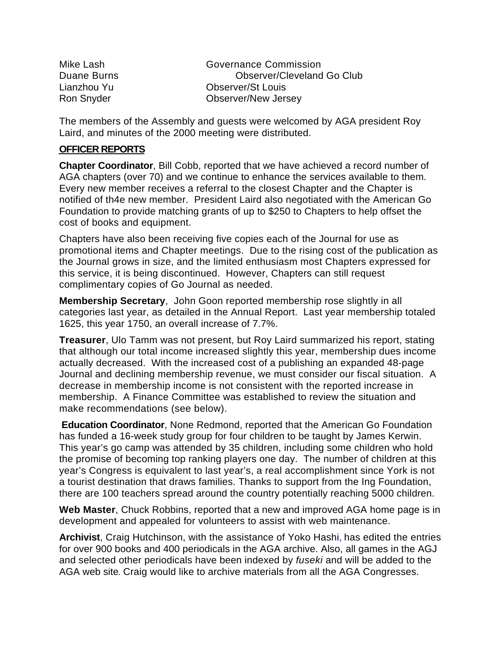| Mike Lash   | Governance Commission      |
|-------------|----------------------------|
| Duane Burns | Observer/Cleveland Go Club |
| Lianzhou Yu | <b>Observer/St Louis</b>   |
| Ron Snyder  | Observer/New Jersey        |

The members of the Assembly and guests were welcomed by AGA president Roy Laird, and minutes of the 2000 meeting were distributed.

#### **OFFICER REPORTS**

**Chapter Coordinator**, Bill Cobb, reported that we have achieved a record number of AGA chapters (over 70) and we continue to enhance the services available to them. Every new member receives a referral to the closest Chapter and the Chapter is notified of th4e new member. President Laird also negotiated with the American Go Foundation to provide matching grants of up to \$250 to Chapters to help offset the cost of books and equipment.

Chapters have also been receiving five copies each of the Journal for use as promotional items and Chapter meetings. Due to the rising cost of the publication as the Journal grows in size, and the limited enthusiasm most Chapters expressed for this service, it is being discontinued. However, Chapters can still request complimentary copies of Go Journal as needed.

**Membership Secretary**, John Goon reported membership rose slightly in all categories last year, as detailed in the Annual Report. Last year membership totaled 1625, this year 1750, an overall increase of 7.7%.

**Treasurer**, Ulo Tamm was not present, but Roy Laird summarized his report, stating that although our total income increased slightly this year, membership dues income actually decreased. With the increased cost of a publishing an expanded 48-page Journal and declining membership revenue, we must consider our fiscal situation. A decrease in membership income is not consistent with the reported increase in membership. A Finance Committee was established to review the situation and make recommendations (see below).

**Education Coordinator**, None Redmond, reported that the American Go Foundation has funded a 16-week study group for four children to be taught by James Kerwin. This year's go camp was attended by 35 children, including some children who hold the promise of becoming top ranking players one day. The number of children at this year's Congress is equivalent to last year's, a real accomplishment since York is not a tourist destination that draws families. Thanks to support from the Ing Foundation, there are 100 teachers spread around the country potentially reaching 5000 children.

**Web Master**, Chuck Robbins, reported that a new and improved AGA home page is in development and appealed for volunteers to assist with web maintenance.

**Archivist**, Craig Hutchinson, with the assistance of Yoko Hashi, has edited the entries for over 900 books and 400 periodicals in the AGA archive. Also, all games in the AGJ and selected other periodicals have been indexed by *fuseki* and will be added to the AGA web site. Craig would like to archive materials from all the AGA Congresses.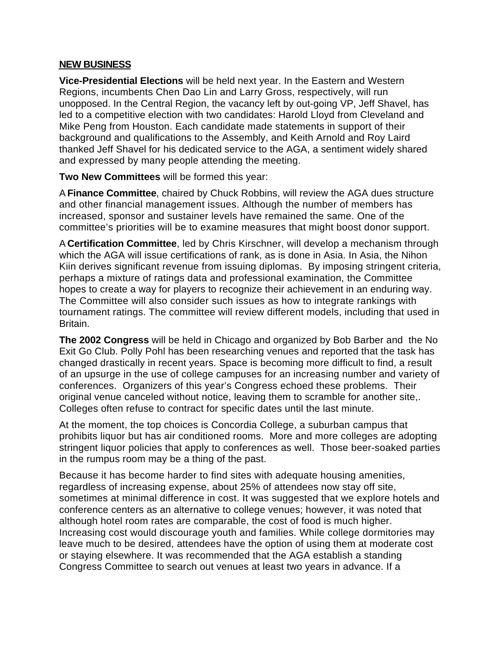#### **NEW BUSINESS**

**Vice-Presidential Elections** will be held next year. In the Eastern and Western Regions, incumbents Chen Dao Lin and Larry Gross, respectively, will run unopposed. In the Central Region, the vacancy left by out-going VP, Jeff Shavel, has led to a competitive election with two candidates: Harold Lloyd from Cleveland and Mike Peng from Houston. Each candidate made statements in support of their background and qualifications to the Assembly, and Keith Arnold and Roy Laird thanked Jeff Shavel for his dedicated service to the AGA, a sentiment widely shared and expressed by many people attending the meeting.

**Two New Committees** will be formed this year:

A **Finance Committee**, chaired by Chuck Robbins, will review the AGA dues structure and other financial management issues. Although the number of members has increased, sponsor and sustainer levels have remained the same. One of the committee's priorities will be to examine measures that might boost donor support.

A **Certification Committee**, led by Chris Kirschner, will develop a mechanism through which the AGA will issue certifications of rank, as is done in Asia. In Asia, the Nihon Kiin derives significant revenue from issuing diplomas. By imposing stringent criteria, perhaps a mixture of ratings data and professional examination, the Committee hopes to create a way for players to recognize their achievement in an enduring way. The Committee will also consider such issues as how to integrate rankings with tournament ratings. The committee will review different models, including that used in Britain.

**The 2002 Congress** will be held in Chicago and organized by Bob Barber and the No Exit Go Club. Polly Pohl has been researching venues and reported that the task has changed drastically in recent years. Space is becoming more difficult to find, a result of an upsurge in the use of college campuses for an increasing number and variety of conferences. Organizers of this year's Congress echoed these problems. Their original venue canceled without notice, leaving them to scramble for another site,. Colleges often refuse to contract for specific dates until the last minute.

At the moment, the top choices is Concordia College, a suburban campus that prohibits liquor but has air conditioned rooms. More and more colleges are adopting stringent liquor policies that apply to conferences as well. Those beer-soaked parties in the rumpus room may be a thing of the past.

Because it has become harder to find sites with adequate housing amenities, regardless of increasing expense, about 25% of attendees now stay off site, sometimes at minimal difference in cost. It was suggested that we explore hotels and conference centers as an alternative to college venues; however, it was noted that although hotel room rates are comparable, the cost of food is much higher. Increasing cost would discourage youth and families. While college dormitories may leave much to be desired, attendees have the option of using them at moderate cost or staying elsewhere. It was recommended that the AGA establish a standing Congress Committee to search out venues at least two years in advance. If a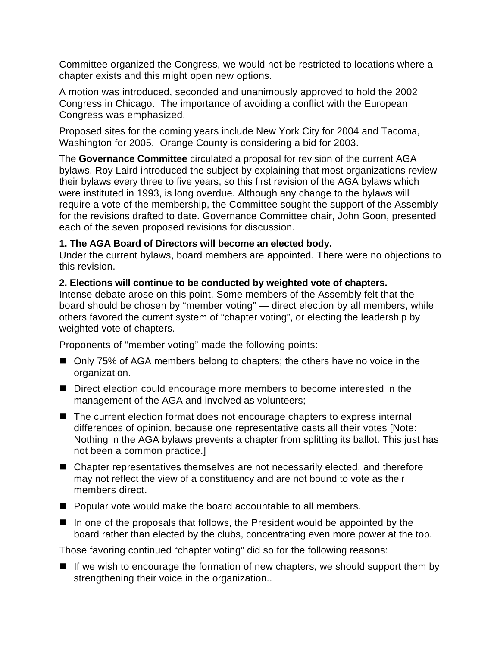Committee organized the Congress, we would not be restricted to locations where a chapter exists and this might open new options.

A motion was introduced, seconded and unanimously approved to hold the 2002 Congress in Chicago. The importance of avoiding a conflict with the European Congress was emphasized.

Proposed sites for the coming years include New York City for 2004 and Tacoma, Washington for 2005. Orange County is considering a bid for 2003.

The **Governance Committee** circulated a proposal for revision of the current AGA bylaws. Roy Laird introduced the subject by explaining that most organizations review their bylaws every three to five years, so this first revision of the AGA bylaws which were instituted in 1993, is long overdue. Although any change to the bylaws will require a vote of the membership, the Committee sought the support of the Assembly for the revisions drafted to date. Governance Committee chair, John Goon, presented each of the seven proposed revisions for discussion.

#### **1. The AGA Board of Directors will become an elected body.**

Under the current bylaws, board members are appointed. There were no objections to this revision.

#### **2. Elections will continue to be conducted by weighted vote of chapters.**

Intense debate arose on this point. Some members of the Assembly felt that the board should be chosen by "member voting" — direct election by all members, while others favored the current system of "chapter voting", or electing the leadership by weighted vote of chapters.

Proponents of "member voting" made the following points:

- Only 75% of AGA members belong to chapters; the others have no voice in the organization.
- Direct election could encourage more members to become interested in the management of the AGA and involved as volunteers;
- $\blacksquare$  The current election format does not encourage chapters to express internal differences of opinion, because one representative casts all their votes [Note: Nothing in the AGA bylaws prevents a chapter from splitting its ballot. This just has not been a common practice.]
- $\blacksquare$  Chapter representatives themselves are not necessarily elected, and therefore may not reflect the view of a constituency and are not bound to vote as their members direct.
- $\blacksquare$  Popular vote would make the board accountable to all members.
- $\blacksquare$  In one of the proposals that follows, the President would be appointed by the board rather than elected by the clubs, concentrating even more power at the top.

Those favoring continued "chapter voting" did so for the following reasons:

 $\blacksquare$  If we wish to encourage the formation of new chapters, we should support them by strengthening their voice in the organization..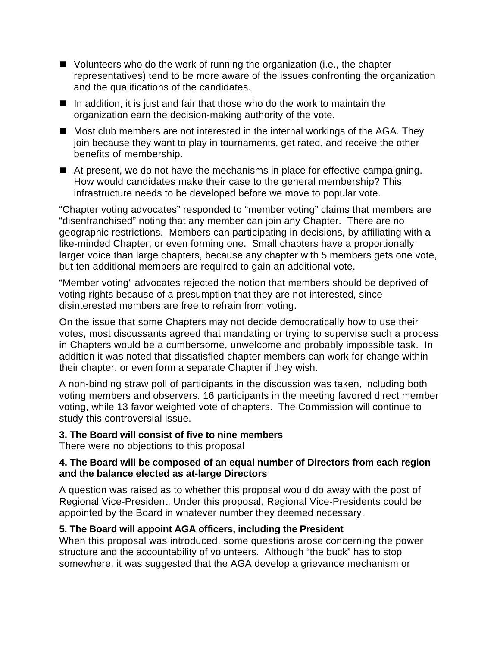- $\blacksquare$  Volunteers who do the work of running the organization (i.e., the chapter representatives) tend to be more aware of the issues confronting the organization and the qualifications of the candidates.
- $\blacksquare$  In addition, it is just and fair that those who do the work to maintain the organization earn the decision-making authority of the vote.
- $\blacksquare$  Most club members are not interested in the internal workings of the AGA. They join because they want to play in tournaments, get rated, and receive the other benefits of membership.
- $\blacksquare$  At present, we do not have the mechanisms in place for effective campaigning. How would candidates make their case to the general membership? This infrastructure needs to be developed before we move to popular vote.

"Chapter voting advocates" responded to "member voting" claims that members are "disenfranchised" noting that any member can join any Chapter. There are no geographic restrictions. Members can participating in decisions, by affiliating with a like-minded Chapter, or even forming one. Small chapters have a proportionally larger voice than large chapters, because any chapter with 5 members gets one vote, but ten additional members are required to gain an additional vote.

"Member voting" advocates rejected the notion that members should be deprived of voting rights because of a presumption that they are not interested, since disinterested members are free to refrain from voting.

On the issue that some Chapters may not decide democratically how to use their votes, most discussants agreed that mandating or trying to supervise such a process in Chapters would be a cumbersome, unwelcome and probably impossible task. In addition it was noted that dissatisfied chapter members can work for change within their chapter, or even form a separate Chapter if they wish.

A non-binding straw poll of participants in the discussion was taken, including both voting members and observers. 16 participants in the meeting favored direct member voting, while 13 favor weighted vote of chapters. The Commission will continue to study this controversial issue.

#### **3. The Board will consist of five to nine members**

There were no objections to this proposal

#### **4. The Board will be composed of an equal number of Directors from each region and the balance elected as at-large Directors**

A question was raised as to whether this proposal would do away with the post of Regional Vice-President. Under this proposal, Regional Vice-Presidents could be appointed by the Board in whatever number they deemed necessary.

## **5. The Board will appoint AGA officers, including the President**

When this proposal was introduced, some questions arose concerning the power structure and the accountability of volunteers. Although "the buck" has to stop somewhere, it was suggested that the AGA develop a grievance mechanism or